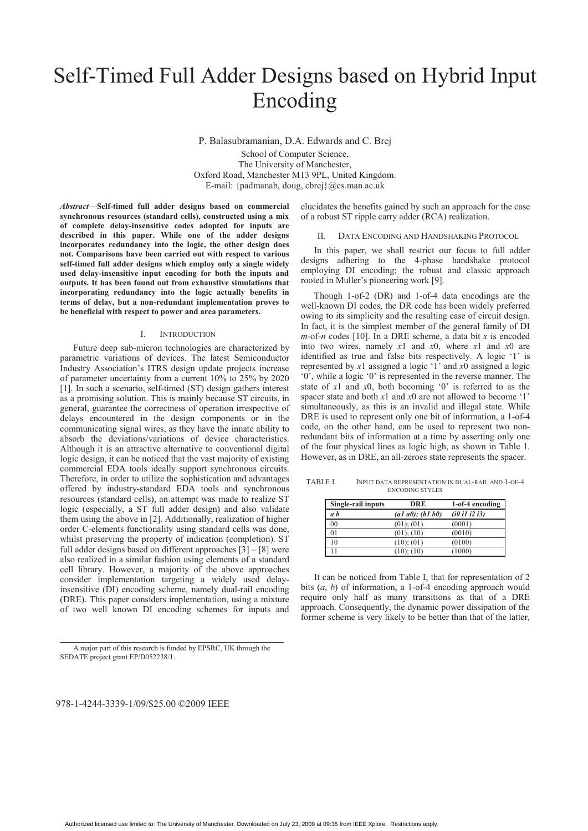# Self-Timed Full Adder Designs based on Hybrid Input Encoding

P. Balasubramanian, D.A. Edwards and C. Brej School of Computer Science, The University of Manchester, Oxford Road, Manchester M13 9PL, United Kingdom. E-mail: {padmanab, doug, cbrej}@cs.man.ac.uk

*Abstract***—Self-timed full adder designs based on commercial synchronous resources (standard cells), constructed using a mix of complete delay-insensitive codes adopted for inputs are described in this paper. While one of the adder designs incorporates redundancy into the logic, the other design does not. Comparisons have been carried out with respect to various self-timed full adder designs which employ only a single widely used delay-insensitive input encoding for both the inputs and outputs. It has been found out from exhaustive simulations that incorporating redundancy into the logic actually benefits in terms of delay, but a non-redundant implementation proves to be beneficial with respect to power and area parameters.** 

### I. INTRODUCTION

Future deep sub-micron technologies are characterized by parametric variations of devices. The latest Semiconductor Industry Association's ITRS design update projects increase of parameter uncertainty from a current 10% to 25% by 2020 [1]. In such a scenario, self-timed (ST) design gathers interest as a promising solution. This is mainly because ST circuits, in general, guarantee the correctness of operation irrespective of delays encountered in the design components or in the communicating signal wires, as they have the innate ability to absorb the deviations/variations of device characteristics. Although it is an attractive alternative to conventional digital logic design, it can be noticed that the vast majority of existing commercial EDA tools ideally support synchronous circuits. Therefore, in order to utilize the sophistication and advantages offered by industry-standard EDA tools and synchronous resources (standard cells), an attempt was made to realize ST logic (especially, a ST full adder design) and also validate them using the above in [2]. Additionally, realization of higher order C-elements functionality using standard cells was done, whilst preserving the property of indication (completion). ST full adder designs based on different approaches  $\lceil 3 \rceil - \lceil 8 \rceil$  were also realized in a similar fashion using elements of a standard cell library. However, a majority of the above approaches consider implementation targeting a widely used delayinsensitive (DI) encoding scheme, namely dual-rail encoding (DRE). This paper considers implementation, using a mixture of two well known DI encoding schemes for inputs and elucidates the benefits gained by such an approach for the case of a robust ST ripple carry adder (RCA) realization.

## II. DATA ENCODING AND HANDSHAKING PROTOCOL

In this paper, we shall restrict our focus to full adder designs adhering to the 4-phase handshake protocol employing DI encoding; the robust and classic approach rooted in Muller's pioneering work [9].

Though 1-of-2 (DR) and 1-of-4 data encodings are the well-known DI codes, the DR code has been widely preferred owing to its simplicity and the resulting ease of circuit design. In fact, it is the simplest member of the general family of DI *m*-of-*n* codes [10]. In a DRE scheme, a data bit *x* is encoded into two wires, namely *x*1 and *x*0, where *x*1 and *x*0 are identified as true and false bits respectively. A logic '1' is represented by *x*1 assigned a logic '1' and *x*0 assigned a logic '0', while a logic '0' is represented in the reverse manner. The state of *x*1 and *x*0, both becoming '0' is referred to as the spacer state and both *x*1 and *x*0 are not allowed to become '1' simultaneously, as this is an invalid and illegal state. While DRE is used to represent only one bit of information, a 1-of-4 code, on the other hand, can be used to represent two nonredundant bits of information at a time by asserting only one of the four physical lines as logic high, as shown in Table 1. However, as in DRE, an all-zeroes state represents the spacer.

TABLE I. INPUT DATA REPRESENTATION IN DUAL-RAIL AND 1-OF-4 ENCODING STYLES

| Single-rail inputs | DRE              | 1-of-4 encoding |
|--------------------|------------------|-----------------|
| a b                | (a1 a0); (b1 b0) | (i0 i1 i2 i3)   |
| 0 <sub>0</sub>     | (01); (01)       | (0001)          |
| 0 <sub>1</sub>     | (01); (10)       | (0010)          |
| 10                 | (10); (01)       | (0100)          |
| 11                 | (10); (10)       | (1000)          |

It can be noticed from Table I, that for representation of 2 bits (*a*, *b*) of information, a 1-of-4 encoding approach would require only half as many transitions as that of a DRE approach. Consequently, the dynamic power dissipation of the former scheme is very likely to be better than that of the latter,

978-1-4244-3339-1/09/\$25.00 ©2009 IEEE

A major part of this research is funded by EPSRC, UK through the SEDATE project grant EP/D052238/1.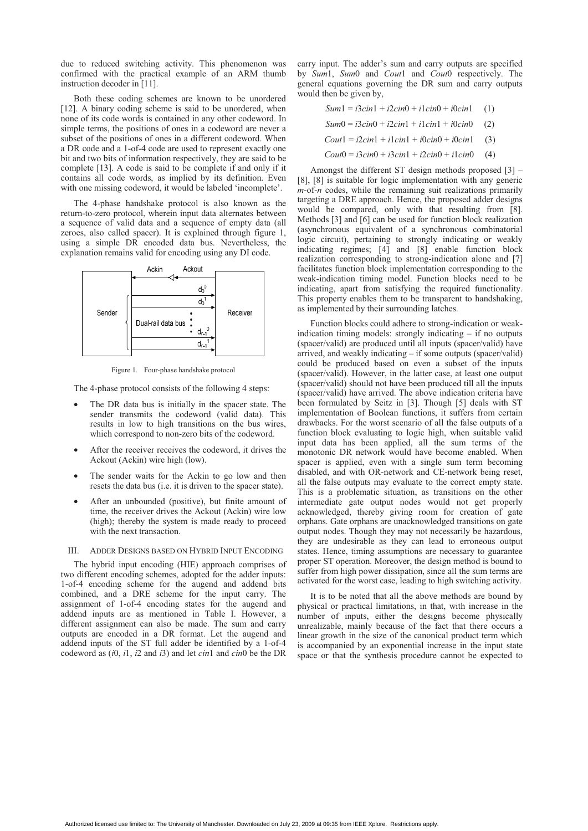due to reduced switching activity. This phenomenon was confirmed with the practical example of an ARM thumb instruction decoder in [11].

Both these coding schemes are known to be unordered [12]. A binary coding scheme is said to be unordered, when none of its code words is contained in any other codeword. In simple terms, the positions of ones in a codeword are never a subset of the positions of ones in a different codeword. When a DR code and a 1-of-4 code are used to represent exactly one bit and two bits of information respectively, they are said to be complete [13]. A code is said to be complete if and only if it contains all code words, as implied by its definition. Even with one missing codeword, it would be labeled 'incomplete'.

The 4-phase handshake protocol is also known as the return-to-zero protocol, wherein input data alternates between a sequence of valid data and a sequence of empty data (all zeroes, also called spacer). It is explained through figure 1, using a simple DR encoded data bus. Nevertheless, the explanation remains valid for encoding using any DI code.



Figure 1. Four-phase handshake protocol

The 4-phase protocol consists of the following 4 steps:

- The DR data bus is initially in the spacer state. The sender transmits the codeword (valid data). This results in low to high transitions on the bus wires, which correspond to non-zero bits of the codeword.
- After the receiver receives the codeword, it drives the Ackout (Ackin) wire high (low).
- The sender waits for the Ackin to go low and then resets the data bus (i.e. it is driven to the spacer state).
- After an unbounded (positive), but finite amount of time, the receiver drives the Ackout (Ackin) wire low (high); thereby the system is made ready to proceed with the next transaction.

## III. ADDER DESIGNS BASED ON HYBRID INPUT ENCODING

The hybrid input encoding (HIE) approach comprises of two different encoding schemes, adopted for the adder inputs: 1-of-4 encoding scheme for the augend and addend bits combined, and a DRE scheme for the input carry. The assignment of 1-of-4 encoding states for the augend and addend inputs are as mentioned in Table I. However, a different assignment can also be made. The sum and carry outputs are encoded in a DR format. Let the augend and addend inputs of the ST full adder be identified by a 1-of-4 codeword as (*i*0, *i*1, *i*2 and *i*3) and let *cin*1 and *cin*0 be the DR

carry input. The adder's sum and carry outputs are specified by *Sum*1, *Sum*0 and *Cout*1 and *Cout*0 respectively. The general equations governing the DR sum and carry outputs would then be given by,

*Sum*1 = *i*3*cin*1 + *i*2*cin*0 + *i*1*cin*0 + *i*0*cin*1 (1)

*Sum*0 = *i*3*cin*0 + *i*2*cin*1 + *i*1*cin*1 + *i*0*cin*0 (2)

 $Cout1 = i2cin1 + i1cin1 + i0cin0 + i0cin1$  (3)

 $Cout0 = i3cin0 + i3cin1 + i2cin0 + i1cin0$  (4)

Amongst the different ST design methods proposed [3] – [8], [8] is suitable for logic implementation with any generic *m*-of-*n* codes, while the remaining suit realizations primarily targeting a DRE approach. Hence, the proposed adder designs would be compared, only with that resulting from [8]. Methods [3] and [6] can be used for function block realization (asynchronous equivalent of a synchronous combinatorial logic circuit), pertaining to strongly indicating or weakly indicating regimes; [4] and [8] enable function block realization corresponding to strong-indication alone and [7] facilitates function block implementation corresponding to the weak-indication timing model. Function blocks need to be indicating, apart from satisfying the required functionality. This property enables them to be transparent to handshaking, as implemented by their surrounding latches.

Function blocks could adhere to strong-indication or weakindication timing models: strongly indicating – if no outputs (spacer/valid) are produced until all inputs (spacer/valid) have arrived, and weakly indicating – if some outputs (spacer/valid) could be produced based on even a subset of the inputs (spacer/valid). However, in the latter case, at least one output (spacer/valid) should not have been produced till all the inputs (spacer/valid) have arrived. The above indication criteria have been formulated by Seitz in [3]. Though [5] deals with ST implementation of Boolean functions, it suffers from certain drawbacks. For the worst scenario of all the false outputs of a function block evaluating to logic high, when suitable valid input data has been applied, all the sum terms of the monotonic DR network would have become enabled. When spacer is applied, even with a single sum term becoming disabled, and with OR-network and CE-network being reset, all the false outputs may evaluate to the correct empty state. This is a problematic situation, as transitions on the other intermediate gate output nodes would not get properly acknowledged, thereby giving room for creation of gate orphans. Gate orphans are unacknowledged transitions on gate output nodes. Though they may not necessarily be hazardous, they are undesirable as they can lead to erroneous output states. Hence, timing assumptions are necessary to guarantee proper ST operation. Moreover, the design method is bound to suffer from high power dissipation, since all the sum terms are activated for the worst case, leading to high switching activity.

It is to be noted that all the above methods are bound by physical or practical limitations, in that, with increase in the number of inputs, either the designs become physically unrealizable, mainly because of the fact that there occurs a linear growth in the size of the canonical product term which is accompanied by an exponential increase in the input state space or that the synthesis procedure cannot be expected to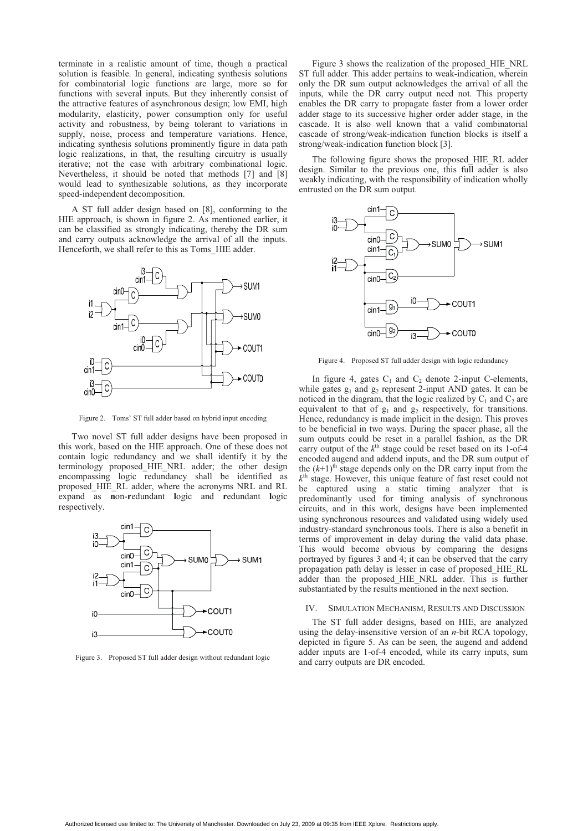terminate in a realistic amount of time, though a practical solution is feasible. In general, indicating synthesis solutions for combinatorial logic functions are large, more so for functions with several inputs. But they inherently consist of the attractive features of asynchronous design; low EMI, high modularity, elasticity, power consumption only for useful activity and robustness, by being tolerant to variations in supply, noise, process and temperature variations. Hence, indicating synthesis solutions prominently figure in data path logic realizations, in that, the resulting circuitry is usually iterative; not the case with arbitrary combinational logic. Nevertheless, it should be noted that methods [7] and [8] would lead to synthesizable solutions, as they incorporate speed-independent decomposition.

A ST full adder design based on [8], conforming to the HIE approach, is shown in figure 2. As mentioned earlier, it can be classified as strongly indicating, thereby the DR sum and carry outputs acknowledge the arrival of all the inputs. Henceforth, we shall refer to this as Toms HIE adder.



Figure 2. Toms' ST full adder based on hybrid input encoding

Two novel ST full adder designs have been proposed in this work, based on the HIE approach. One of these does not contain logic redundancy and we shall identify it by the terminology proposed\_HIE\_NRL adder; the other design encompassing logic redundancy shall be identified as proposed\_HIE\_RL adder, where the acronyms NRL and RL expand as **n**on-**r**edundant **l**ogic and **r**edundant **l**ogic respectively.



Figure 3. Proposed ST full adder design without redundant logic

Figure 3 shows the realization of the proposed\_HIE\_NRL ST full adder. This adder pertains to weak-indication, wherein only the DR sum output acknowledges the arrival of all the inputs, while the DR carry output need not. This property enables the DR carry to propagate faster from a lower order adder stage to its successive higher order adder stage, in the cascade. It is also well known that a valid combinatorial cascade of strong/weak-indication function blocks is itself a strong/weak-indication function block [3].

The following figure shows the proposed\_HIE\_RL adder design. Similar to the previous one, this full adder is also weakly indicating, with the responsibility of indication wholly entrusted on the DR sum output.



Figure 4. Proposed ST full adder design with logic redundancy

In figure 4, gates  $C_1$  and  $C_2$  denote 2-input C-elements, while gates  $g_1$  and  $g_2$  represent 2-input AND gates. It can be noticed in the diagram, that the logic realized by  $C_1$  and  $C_2$  are equivalent to that of  $g_1$  and  $g_2$  respectively, for transitions. Hence, redundancy is made implicit in the design. This proves to be beneficial in two ways. During the spacer phase, all the sum outputs could be reset in a parallel fashion, as the DR carry output of the  $k^{\text{th}}$  stage could be reset based on its 1-of-4 encoded augend and addend inputs, and the DR sum output of the  $(k+1)$ <sup>th</sup> stage depends only on the DR carry input from the  $k<sup>th</sup>$  stage. However, this unique feature of fast reset could not be captured using a static timing analyzer that is predominantly used for timing analysis of synchronous circuits, and in this work, designs have been implemented using synchronous resources and validated using widely used industry-standard synchronous tools. There is also a benefit in terms of improvement in delay during the valid data phase. This would become obvious by comparing the designs portrayed by figures 3 and 4; it can be observed that the carry propagation path delay is lesser in case of proposed\_HIE\_RL adder than the proposed HIE NRL adder. This is further substantiated by the results mentioned in the next section.

## IV. SIMULATION MECHANISM, RESULTS AND DISCUSSION

The ST full adder designs, based on HIE, are analyzed using the delay-insensitive version of an *n*-bit RCA topology, depicted in figure 5. As can be seen, the augend and addend adder inputs are 1-of-4 encoded, while its carry inputs, sum and carry outputs are DR encoded.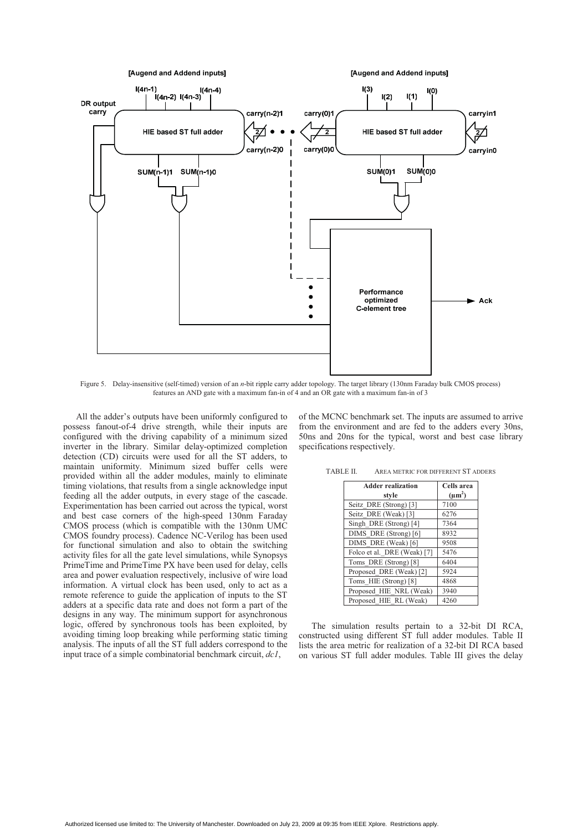

Figure 5. Delay-insensitive (self-timed) version of an *n*-bit ripple carry adder topology. The target library (130nm Faraday bulk CMOS process) features an AND gate with a maximum fan-in of 4 and an OR gate with a maximum fan-in of 3

All the adder's outputs have been uniformly configured to possess fanout-of-4 drive strength, while their inputs are configured with the driving capability of a minimum sized inverter in the library. Similar delay-optimized completion detection (CD) circuits were used for all the ST adders, to maintain uniformity. Minimum sized buffer cells were provided within all the adder modules, mainly to eliminate timing violations, that results from a single acknowledge input feeding all the adder outputs, in every stage of the cascade. Experimentation has been carried out across the typical, worst and best case corners of the high-speed 130nm Faraday CMOS process (which is compatible with the 130nm UMC CMOS foundry process). Cadence NC-Verilog has been used for functional simulation and also to obtain the switching activity files for all the gate level simulations, while Synopsys PrimeTime and PrimeTime PX have been used for delay, cells area and power evaluation respectively, inclusive of wire load information. A virtual clock has been used, only to act as a remote reference to guide the application of inputs to the ST adders at a specific data rate and does not form a part of the designs in any way. The minimum support for asynchronous logic, offered by synchronous tools has been exploited, by avoiding timing loop breaking while performing static timing analysis. The inputs of all the ST full adders correspond to the input trace of a simple combinatorial benchmark circuit, *dc1*,

of the MCNC benchmark set. The inputs are assumed to arrive from the environment and are fed to the adders every 30ns, 50ns and 20ns for the typical, worst and best case library specifications respectively.

TABLE II. AREA METRIC FOR DIFFERENT ST ADDERS

| <b>Adder realization</b>    | Cells area  |
|-----------------------------|-------------|
| style                       | $(\mu m^2)$ |
| Seitz DRE (Strong) [3]      | 7100        |
| Seitz DRE (Weak) [3]        | 6276        |
| Singh DRE (Strong) [4]      | 7364        |
| DIMS DRE (Strong) [6]       | 8932        |
| DIMS DRE (Weak) [6]         | 9508        |
| Folco et al. DRE (Weak) [7] | 5476        |
| Toms DRE (Strong) [8]       | 6404        |
| Proposed DRE (Weak) [2]     | 5924        |
| Toms HIE (Strong) [8]       | 4868        |
| Proposed HIE NRL (Weak)     | 3940        |
| Proposed HIE RL (Weak)      | 4260        |

The simulation results pertain to a 32-bit DI RCA, constructed using different ST full adder modules. Table II lists the area metric for realization of a 32-bit DI RCA based on various ST full adder modules. Table III gives the delay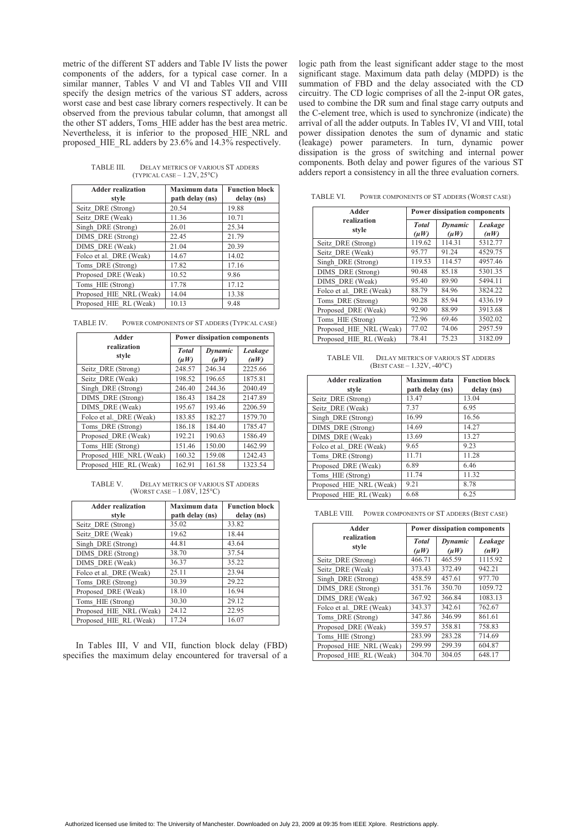metric of the different ST adders and Table IV lists the power components of the adders, for a typical case corner. In a similar manner, Tables V and VI and Tables VII and VIII specify the design metrics of the various ST adders, across worst case and best case library corners respectively. It can be observed from the previous tabular column, that amongst all the other ST adders, Toms\_HIE adder has the best area metric. Nevertheless, it is inferior to the proposed\_HIE\_NRL and proposed HIE\_RL adders by 23.6% and  $14.3\%$  respectively.

TABLE III. DELAY METRICS OF VARIOUS ST ADDERS<br>(TYPICAL CASE – 1.2V, 25°C)

| <b>Adder realization</b><br>style | Maximum data<br>path delay (ns) | <b>Function block</b><br>delay (ns) |
|-----------------------------------|---------------------------------|-------------------------------------|
| Seitz DRE (Strong)                | 20.54                           | 19.88                               |
| Seitz DRE (Weak)                  | 11.36                           | 10.71                               |
| Singh DRE (Strong)                | 26.01                           | 25.34                               |
| DIMS DRE (Strong)                 | 22.45                           | 21.79                               |
| DIMS DRE (Weak)                   | 21.04                           | 20.39                               |
| Folco et al. DRE (Weak)           | 14.67                           | 14.02                               |
| Toms DRE (Strong)                 | 17.82                           | 17.16                               |
| Proposed DRE (Weak)               | 10.52                           | 9.86                                |
| Toms HIE (Strong)                 | 17.78                           | 17.12                               |
| Proposed HIE NRL (Weak)           | 14.04                           | 13.38                               |
| Proposed HIE RL (Weak)            | 10.13                           | 9.48                                |

TABLE IV. POWER COMPONENTS OF ST ADDERS (TYPICAL CASE)

| Adder                   | <b>Power dissipation components</b> |                      |                 |
|-------------------------|-------------------------------------|----------------------|-----------------|
| realization<br>style    | <b>Total</b><br>$(\mu W)$           | Dynamic<br>$(\mu W)$ | Leakage<br>(nW) |
| Seitz DRE (Strong)      | 248.57                              | 246.34               | 2225.66         |
| Seitz DRE (Weak)        | 198.52                              | 196.65               | 1875.81         |
| Singh DRE (Strong)      | 246.40                              | 244.36               | 2040.49         |
| DIMS DRE (Strong)       | 186.43                              | 184.28               | 2147.89         |
| DIMS DRE (Weak)         | 195.67                              | 193.46               | 2206.59         |
| Folco et al. DRE (Weak) | 183.85                              | 182.27               | 1579.70         |
| Toms DRE (Strong)       | 186.18                              | 184.40               | 1785.47         |
| Proposed DRE (Weak)     | 192.21                              | 190.63               | 1586.49         |
| Toms HIE (Strong)       | 151.46                              | 150.00               | 1462.99         |
| Proposed HIE NRL (Weak) | 160.32                              | 159.08               | 1242.43         |
| Proposed HIE RL (Weak)  | 162.91                              | 161.58               | 1323.54         |

TABLE V. DELAY METRICS OF VARIOUS ST ADDERS (WORST CASE – 1.08V, 125°C)

| <b>Adder realization</b> | Maximum data    | <b>Function block</b> |
|--------------------------|-----------------|-----------------------|
| style                    | path delay (ns) | delay (ns)            |
| Seitz DRE (Strong)       | 35.02           | 33.82                 |
| Seitz DRE (Weak)         | 19.62           | 18.44                 |
| Singh DRE (Strong)       | 44.81           | 43.64                 |
| DIMS DRE (Strong)        | 38.70           | 37.54                 |
| DIMS DRE (Weak)          | 36.37           | 35.22                 |
| Folco et al. DRE (Weak)  | 25.11           | 23.94                 |
| Toms DRE (Strong)        | 30.39           | 29.22                 |
| Proposed DRE (Weak)      | 18.10           | 16.94                 |
| Toms HIE (Strong)        | 30.30           | 29.12                 |
| Proposed HIE NRL (Weak)  | 24.12           | 22.95                 |
| Proposed HIE RL (Weak)   | 17.24           | 16.07                 |

In Tables III, V and VII, function block delay (FBD) specifies the maximum delay encountered for traversal of a

logic path from the least significant adder stage to the most significant stage. Maximum data path delay (MDPD) is the summation of FBD and the delay associated with the CD circuitry. The CD logic comprises of all the 2-input OR gates, used to combine the DR sum and final stage carry outputs and the C-element tree, which is used to synchronize (indicate) the arrival of all the adder outputs. In Tables IV, VI and VIII, total power dissipation denotes the sum of dynamic and static (leakage) power parameters. In turn, dynamic power dissipation is the gross of switching and internal power components. Both delay and power figures of the various ST adders report a consistency in all the three evaluation corners.

TABLE VI. POWER COMPONENTS OF ST ADDERS (WORST CASE)

| Adder                   | <b>Power dissipation components</b> |                      |                 |
|-------------------------|-------------------------------------|----------------------|-----------------|
| realization<br>style    | <b>T</b> otal<br>(uW)               | Dynamic<br>$(\mu W)$ | Leakage<br>(nW) |
| Seitz DRE (Strong)      | 119.62                              | 114.31               | 5312.77         |
| Seitz DRE (Weak)        | 95.77                               | 91.24                | 4529.75         |
| Singh DRE (Strong)      | 119.53                              | 114.57               | 4957.46         |
| DIMS DRE (Strong)       | 90.48                               | 85.18                | 5301.35         |
| DIMS DRE (Weak)         | 95.40                               | 89.90                | 5494.11         |
| Folco et al. DRE (Weak) | 88.79                               | 84.96                | 3824.22         |
| Toms DRE (Strong)       | 90.28                               | 85.94                | 4336.19         |
| Proposed DRE (Weak)     | 92.90                               | 88.99                | 3913.68         |
| Toms HIE (Strong)       | 72.96                               | 69.46                | 3502.02         |
| Proposed HIE NRL (Weak) | 77.02                               | 74.06                | 2957.59         |
| Proposed HIE RL (Weak)  | 78.41                               | 75.23                | 3182.09         |

TABLE VII. DELAY METRICS OF VARIOUS ST ADDERS  $(BEST CASE - 1.32V, -40°C)$ 

| <b>Adder realization</b> | Maximum data    | <b>Function block</b> |
|--------------------------|-----------------|-----------------------|
| style                    | path delay (ns) | delay (ns)            |
| Seitz DRE (Strong)       | 13.47           | 13.04                 |
| Seitz DRE (Weak)         | 7.37            | 6.95                  |
| Singh DRE (Strong)       | 16.99           | 16.56                 |
| DIMS DRE (Strong)        | 14.69           | 14.27                 |
| DIMS DRE (Weak)          | 13.69           | 13.27                 |
| Folco et al. DRE (Weak)  | 9.65            | 9.23                  |
| Toms DRE (Strong)        | 11.71           | 11.28                 |
| Proposed DRE (Weak)      | 6.89            | 6.46                  |
| Toms HIE (Strong)        | 11.74           | 11.32                 |
| Proposed HIE NRL (Weak)  | 9.21            | 8.78                  |
| Proposed HIE RL (Weak)   | 6.68            | 6.25                  |

TABLE VIII. POWER COMPONENTS OF ST ADDERS (BEST CASE)

| Adder                   | <b>Power dissipation components</b> |                      |                 |
|-------------------------|-------------------------------------|----------------------|-----------------|
| realization<br>style    | <b>T</b> otal<br>$(\mu W)$          | Dynamic<br>$(\mu W)$ | Leakage<br>(nW) |
| Seitz DRE (Strong)      | 466.71                              | 465.59               | 1115.92         |
| Seitz DRE (Weak)        | 373.43                              | 372.49               | 942.21          |
| Singh DRE (Strong)      | 458.59                              | 457.61               | 977.70          |
| DIMS DRE (Strong)       | 351.76                              | 350.70               | 1059.72         |
| DIMS DRE (Weak)         | 367.92                              | 366.84               | 1083.13         |
| Folco et al. DRE (Weak) | 343.37                              | 342.61               | 762.67          |
| Toms DRE (Strong)       | 347.86                              | 346.99               | 861.61          |
| Proposed DRE (Weak)     | 359.57                              | 358.81               | 758.83          |
| Toms HIE (Strong)       | 283.99                              | 283.28               | 714.69          |
| Proposed HIE NRL (Weak) | 299.99                              | 299.39               | 604.87          |
| Proposed HIE RL (Weak)  | 304.70                              | 304.05               | 648.17          |